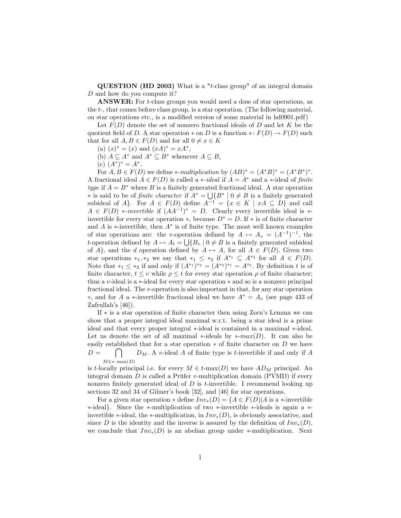QUESTION (HD 2003) What is a "t-class group" of an integral domain D and how do you compute it?

ANSWER: For *t*-class groups you would need a dose of star operations, as the t-, that comes before class group, is a star operation. (The following material, on star operations etc., is a modified version of some material in hd0901.pdf)

Let  $F(D)$  denote the set of nonzero fractional ideals of D and let K be the quotient field of D. A star operation  $*$  on D is a function  $*$ :  $F(D) \to F(D)$  such that for all  $A, B \in F(D)$  and for all  $0 \neq x \in K$ 

- (a)  $(x)^* = (x)$  and  $(xA)^* = xA^*$ ,
- (b)  $A \subseteq A^*$  and  $A^* \subseteq B^*$  whenever  $A \subseteq B$ ,

(c)  $(A^*)^* = A^*$ .

For  $A, B \in F(D)$  we define  $\ast$ -multiplication by  $(AB)^* = (A^*B)^* = (A^*B^*)^*$ . A fractional ideal  $A \in F(D)$  is called a  $\ast$ -ideal if  $A = A^*$  and a  $\ast$ -ideal of finite type if  $A = B^*$  where B is a finitely generated fractional ideal. A star operation \* is said to be of finite character if  $A^* = \bigcup_{i=1}^{n} (B^* \mid 0 \neq B$  is a finitely generated subideal of A}. For  $A \in F(D)$  define  $A^{-1} = \{x \in K \mid xA \subseteq D\}$  and call  $A \in F(D)$  \*-invertible if  $(AA^{-1})^* = D$ . Clearly every invertible ideal is \*invertible for every star operation  $\ast$ , because  $D^* = D$ . If  $\ast$  is of finite character and A is  $*$ -invertible, then  $A^*$  is of finite type. The most well known examples of star operations are: the v-operation defined by  $A \mapsto A_v = (A^{-1})^{-1}$ , the t-operation defined by  $A \mapsto A_t = \bigcup \{B_v \mid 0 \neq B \text{ is a finitely generated subideal}\}\$ of A, and the d operation defined by  $A \mapsto A$ , for all  $A \in F(D)$ . Given two star operations  $*_1, *_2$  we say that  $*_1 \leq *_2$  if  $A^{*_1} \subseteq A^{*_2}$  for all  $A \in F(D)$ . Note that  $*_1 \leq *_2$  if and only if  $(A^{*_1})^{*_2} = (A^{*_2})^{*_1} = A^{*_2}$ . By definition t is of finite character,  $t \leq v$  while  $\rho \leq t$  for every star operation  $\rho$  of finite character; thus a v-ideal is a  $\ast$ -ideal for every star operation  $\ast$  and so is a nonzero principal fractional ideal. The v-operation is also important in that, for any star operation \*, and for A a \*-invertible fractional ideal we have  $A^* = A_v$  (see page 433 of Zafrullah's  $[46]$ ).

If  $*$  is a star operation of finite character then using Zorn's Lemma we can show that a proper integral ideal maximal w.r.t. being a star ideal is a prime ideal and that every proper integral \*-ideal is contained in a maximal \*-ideal. Let us denote the set of all maximal  $\ast$ -ideals by  $\ast$ -max $(D)$ . It can also be easily established that for a star operation  $*$  of finite character on  $D$  we have  $D =$  $\Box$  $M \in \mathbb{R}$  max(D)  $D_M$ . A v-ideal A of finite type is t-invertible if and only if A

is t-locally principal i.e. for every  $M \in t$ -max(D) we have  $AD_M$  principal. An integral domain  $D$  is called a Prüfer v-multiplication domain (PVMD) if every nonzero finitely generated ideal of  $D$  is t-invertible. I recommend looking up sections 32 and 34 of Gilmer's book [32], and [46] for star operations.

For a given star operation  $\ast$  define  $Inv_{\ast}(D) = \{A \in F(D)|A \text{ is a } \ast \text{-invertible}\}$  $*-ideal$ . Since the  $*-multiplication$  of two  $*-invertible$   $*-ideals$  is again a  $*$ invertible  $\ast$ -ideal, the  $\ast$ -multiplication, in  $Inv_{\ast}(D)$ , is obviously associative, and since D is the identity and the inverse is assured by the definition of  $Inv_*(D)$ , we conclude that  $Inv_*(D)$  is an abelian group under  $*$ -multiplication. Next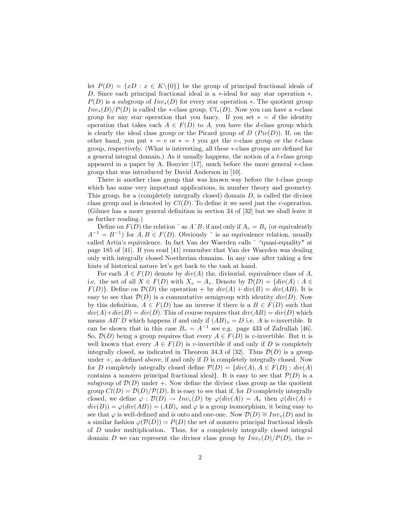let  $P(D) = \{xD : x \in K\backslash\{0\}\}\$ be the group of principal fractional ideals of D. Since each principal fractional ideal is a  $*$ -ideal for any star operation  $*$ ,  $P(D)$  is a subgroup of  $Inv_*(D)$  for every star operation  $*$ . The quotient group  $Inv_*(D)/P(D)$  is called the \*-class group,  $Cl_*(D)$ . Now you can have a \*-class group for any star operation that you fancy. If you set  $* = d$  the identity operation that takes each  $A \in F(D)$  to A, you have the d-class group which is clearly the ideal class group or the Picard group of  $D$  ( $Pic(D)$ ). If, on the other hand, you put  $* = v$  or  $* = t$  you get the v-class group or the t-class group, respectively. (What is interesting, all these  $\ast$ -class groups are defined for a general integral domain.) As it usually happens, the notion of a t-class group appeared in a paper by A. Bouvier  $[17]$ , much before the more general  $\ast$ -class group that was introduced by David Anderson in [10].

There is another class group that was known way before the t-class group which has some very important applications, in number theory and geometry. This group, for a (completely integrally closed) domain  $D$ , is called the divisor class group and is denoted by  $Cl(D)$ . To define it we need just the v-operation. (Gilmer has a more general definition in section  $34$  of  $[32]$  but we shall leave it as further reading.)

Define on  $F(D)$  the relation  $\tilde{a}$  as  $A^{\tilde{b}}B$ , if and only if  $A_v = B_v$  (or equivalently  $A^{-1} = B^{-1}$  for  $A, B \in F(D)$ . Obviously  $\tilde{ }$  is an equivalence relation, usually called Artin's equivalence. In fact Van der Waerden calls  $\degree$  "quasi-equality" at page 185 of [41]. If you read [41] remember that Van der Waerden was dealing only with integrally closed Noetherian domains. In any case after taking a few hints of historical nature let's get back to the task at hand.

For each  $A \in F(D)$  denote by  $div(A)$  the, divisorial, equivalence class of A, i.e. the set of all  $X \in F(D)$  with  $X_v = A_v$ . Denote by  $\mathcal{D}(D) = \{div(A) : A \in$  $F(D)$ . Define on  $\mathcal{D}(D)$  the operation + by  $div(A) + div(B) = div(AB)$ . It is easy to see that  $\mathcal{D}(D)$  is a commutative semigroup with identity  $div(D)$ . Now by this definition,  $A \in F(D)$  has an inverse if there is a  $B \in F(D)$  such that  $div(A) + div(B) = div(D)$ . This of course requires that  $div(AB) = div(D)$  which means  $AB\hat{ }$  D which happens if and only if  $(AB)_v = D$  i.e. A is v-invertible. It can be shown that in this case  $B_v = A^{-1}$  see e.g. page 433 of Zafrullah [46]. So,  $\mathcal{D}(D)$  being a group requires that every  $A \in F(D)$  is v-invertible. But it is well known that every  $A \in F(D)$  is v-invertible if and only if D is completely integrally closed, as indicated in Theorem 34.3 of [32]. Thus  $\mathcal{D}(D)$  is a group under  $+$ , as defined above, if and only if  $D$  is completely integrally closed. Now for D completely integrally closed define  $\mathcal{P}(D) = \{div(A), A \in F(D) : div(A)$ contains a nonzero principal fractional ideal. It is easy to see that  $\mathcal{P}(D)$  is a subgroup of  $\mathcal{D}(D)$  under  $+$ . Now define the divisor class group as the quotient group  $Cl(D) = \mathcal{D}(D)/\mathcal{P}(D)$ . It is easy to see that if, for D completely integrally closed, we define  $\varphi : \mathcal{D}(D) \to Inv_v(D)$  by  $\varphi(div(A)) = A_v$  then  $\varphi(div(A))$  +  $div(B)) = \varphi(div(AB)) = (AB)_v$  and  $\varphi$  is a group isomorphism, it being easy to see that  $\varphi$  is well-defined and is onto and one-one. Now  $\mathcal{D}(D) \cong Inv_n(D)$  and in a similar fashion  $\varphi(\mathcal{P}(D)) = P(D)$  the set of nonzero principal fractional ideals of D under multiplication. Thus, for a completely integrally closed integral domain D we can represent the divisor class group by  $Inv_v(D)/P(D)$ , the v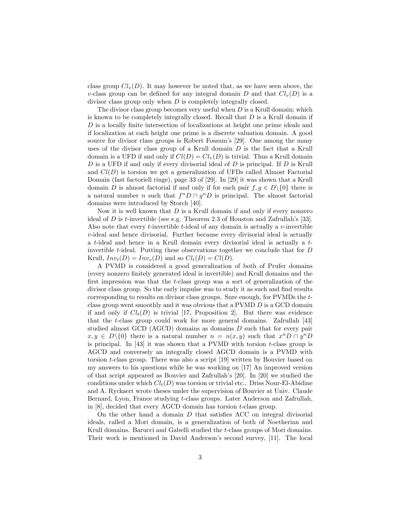class group  $Cl_v(D)$ . It may however be noted that, as we have seen above, the v-class group can be defined for any integral domain D and that  $Cl_v(D)$  is a divisor class group only when D is completely integrally closed.

The divisor class group becomes very useful when  $D$  is a Krull domain; which is known to be completely integrally closed. Recall that  $D$  is a Krull domain if  $D$  is a locally finite intersection of localizations at height one prime ideals and if localization at each height one prime is a discrete valuation domain. A good source for divisor class groups is Robert Fossum's [29]. One among the many uses of the divisor class group of a Krull domain  $D$  is the fact that a Krull domain is a UFD if and only if  $Cl(D) = Cl<sub>v</sub>(D)$  is trivial. Thus a Krull domain D is a UFD if and only if every divisorial ideal of  $D$  is principal. If  $D$  is Krull and  $Cl(D)$  is torsion we get a generalization of UFDs called Almost Factorial Domain (fast factoriell ringe), page 33 of [29]. In [29] it was shown that a Krull domain D is almost factorial if and only if for each pair  $f, q \in D\setminus\{0\}$  there is a natural number *n* such that  $f^n D \cap g^n D$  is principal. The almost factorial domains were introduced by Storch [40].

Now it is well known that  $D$  is a Krull domain if and only if every nonzero ideal of D is t-invertible (see e.g. Theorem 2.3 of Houston and Zafrullah's [33]. Also note that every *t*-invertible *t*-ideal of any domain is actually a *v*-invertible  $v$ -ideal and hence divisorial. Further because every divisorial ideal is actually a t-ideal and hence in a Krull domain every divisorial ideal is actually a tinvertible t-ideal. Putting these observations together we conclude that for  $D$ Krull,  $Inv_t(D) = Inv_v(D)$  and so  $Cl_t(D) = Cl(D)$ .

A PVMD is considered a good generalization of both of Prufer domains (every nonzero Önitely generated ideal is invertible) and Krull domains and the first impression was that the  $t$ -class group was a sort of generalization of the divisor class group. So the early impulse was to study it as such and find results corresponding to results on divisor class groups. Sure enough, for PVMDs the tclass group went smoothly and it was obvious that a PVMD D is a GCD domain if and only if  $Cl<sub>t</sub>(D)$  is trivial [17, Proposition 2]. But there was evidence that the t-class group could work for more general domains. Zafrullah [43] studied almost GCD (AGCD) domains as domains D such that for every pair  $x, y \in D \setminus \{0\}$  there is a natural number  $n = n(x, y)$  such that  $x^n D \cap y^n D$ is principal. In  $[43]$  it was shown that a PVMD with torsion t-class group is AGCD and conversely an integrally closed AGCD domain is a PVMD with torsion t-class group. There was also a script [19] written by Bouvier based on my answers to his questions while he was working on [17] An improved version of that script appeared as Bouvier and Zafrullah's [20]. In [20] we studied the conditions under which  $Cl<sub>t</sub>(D)$  was torsion or trivial etc.. Driss Nour-El-Abidine and A. Ryckaert wrote theses under the supervision of Bouvier at Univ. Claude Bernard, Lyon, France studying t-class groups. Later Anderson and Zafrullah, in [8], decided that every AGCD domain has torsion t-class group.

On the other hand a domain  $D$  that satisfies ACC on integral divisorial ideals, called a Mori domain, is a generalization of both of Noetherian and Krull domains. Barucci and Gabelli studied the t-class groups of Mori domains. Their work is mentioned in David Anderson's second survey, [11]. The local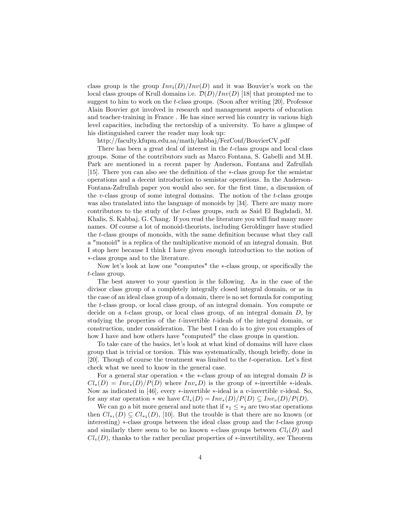class group is the group  $Inv_t(D)/Inv(D)$  and it was Bouvier's work on the local class groups of Krull domains i.e.  $\mathcal{D}(D)/Inv(D)$  [18] that prompted me to suggest to him to work on the t-class groups. (Soon after writing [20], Professor Alain Bouvier got involved in research and management aspects of education and teacher-training in France . He has since served his country in various high level capacities, including the rectorship of a university. To have a glimpse of his distinguished career the reader may look up:

http://faculty.kfupm.edu.sa/math/kabbaj/FezConf/BouvierCV.pdf

There has been a great deal of interest in the t-class groups and local class groups. Some of the contributors such as Marco Fontana, S. Gabelli and M.H. Park are mentioned in a recent paper by Anderson, Fontana and Zafrullah [15]. There you can also see the definition of the  $\ast$ -class group for the semistar operations and a decent introduction to semistar operations. In the Anderson-Fontana-Zafrullah paper you would also see, for the first time, a discussion of the v-class group of some integral domains. The notion of the  $t$ -class groups was also translated into the language of monoids by [34]. There are many more contributors to the study of the t-class groups, such as Said El Baghdadi, M. Khalis, S. Kabbaj, G. Chang. If you read the literature you will find many more names. Of course a lot of monoid-theorists, including Geroldinger have studied the t-class groups of monoids, with the same definition because what they call a "monoid" is a replica of the multiplicative monoid of an integral domain. But I stop here because I think I have given enough introduction to the notion of -class groups and to the literature.

Now let's look at how one "computes" the \*-class group, or specifically the t-class group.

The best answer to your question is the following. As in the case of the divisor class group of a completely integrally closed integral domain, or as in the case of an ideal class group of a domain, there is no set formula for computing the t-class group, or local class group, of an integral domain. You compute or decide on a t-class group, or local class group, of an integral domain  $D$ , by studying the properties of the t-invertible t-ideals of the integral domain, or construction, under consideration. The best I can do is to give you examples of how I have and how others have "computed" the class groups in question.

To take care of the basics, let's look at what kind of domains will have class group that is trivial or torsion. This was systematically, though brieáy, done in [20]. Though of course the treatment was limited to the  $t$ -operation. Let's first check what we need to know in the general case.

For a general star operation  $*$  the  $*$ -class group of an integral domain D is  $Cl_*(D) = Inv_*(D)/P(D)$  where  $Inv_*D$  is the group of  $*$ -invertible  $*$ -ideals. Now as indicated in [46], every  $*$ -invertible  $*$ -ideal is a v-invertible v-ideal. So, for any star operation  $*$  we have  $Cl_*(D) = Inv_*(D)/P(D) \subseteq Inv_v(D)/P(D)$ .

We can go a bit more general and note that if  $*_1 \leq *_2$  are two star operations then  $Cl_{*_{1}}(D) \subseteq Cl_{*_{2}}(D)$ , [10]. But the trouble is that there are no known (or interesting)  $\ast$ -class groups between the ideal class group and the t-class group and similarly there seem to be no known  $\ast$ -class groups between  $Cl<sub>t</sub>(D)$  and  $Cl<sub>v</sub>(D)$ , thanks to the rather peculiar properties of  $*$ -invertibility, see Theorem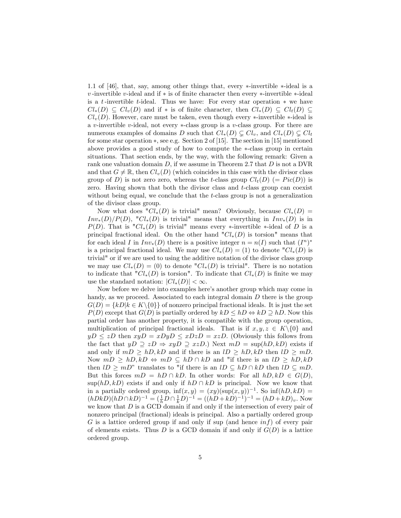1.1 of  $[46]$ , that, say, among other things that, every  $\ast$ -invertible  $\ast$ -ideal is a  $v$ -invertible  $v$ -ideal and if  $*$  is of finite character then every  $*$ -invertible  $*$ -ideal is a t-invertible t-ideal. Thus we have: For every star operation  $*$  we have  $Cl_*(D) \subseteq Cl_v(D)$  and if  $*$  is of finite character, then  $Cl_*(D) \subseteq Cl_t(D)$  $Cl<sub>v</sub>(D)$ . However, care must be taken, even though every  $*$ -invertible  $*$ -ideal is a v-invertible v-ideal, not every  $\ast$ -class group is a v-class group. For there are numerous examples of domains D such that  $Cl_*(D) \subsetneq Cl_v$ , and  $Cl_*(D) \subsetneq Cl_t$ for some star operation  $*$ , see e.g. Section 2 of [15]. The section in [15] mentioned above provides a good study of how to compute the  $\ast$ -class group in certain situations. That section ends, by the way, with the following remark: Given a rank one valuation domain  $D$ , if we assume in Theorem 2.7 that  $D$  is not a DVR and that  $G \neq \mathbb{R}$ , then  $Cl_v(D)$  (which coincides in this case with the divisor class group of D) is not zero zero, whereas the t-class group  $Cl_t(D)$  (=  $Pic(D)$ ) is zero. Having shown that both the divisor class and t-class group can coexist without being equal, we conclude that the t-class group is not a generalization of the divisor class group.

Now what does " $Cl_*(D)$  is trivial" mean? Obviously, because  $Cl_*(D)$  =  $Inv_*(D)/P(D)$ , " $Cl_*(D)$  is trivial" means that everything in  $Inv_*(D)$  is in  $P(D)$ . That is " $Cl_*(D)$  is trivial" means every \*-invertible \*-ideal of D is a principal fractional ideal. On the other hand " $Cl_*(D)$  is torsion" means that for each ideal I in  $Inv_*(D)$  there is a positive integer  $n = n(I)$  such that  $(I^n)^*$ is a principal fractional ideal. We may use  $Cl_*(D) = (1)$  to denote  ${}^nCl_*(D)$  is trivial" or if we are used to using the additive notation of the divisor class group we may use  $Cl_*(D) = (0)$  to denote " $Cl_*(D)$  is trivial". There is no notation to indicate that " $Cl_*(D)$  is torsion". To indicate that  $Cl_*(D)$  is finite we may use the standard notation:  $|Cl_*(D)| < \infty$ .

Now before we delve into examples here's another group which may come in handy, as we proceed. Associated to each integral domain  $D$  there is the group  $G(D) = \{kD | k \in K \setminus \{0\}\}\$  of nonzero principal fractional ideals. It is just the set  $P(D)$  except that  $G(D)$  is partially ordered by  $kD \leq hD \Leftrightarrow kD \supseteq hD$ . Now this partial order has another property, it is compatible with the group operation, multiplication of principal fractional ideals. That is if  $x, y, z \in K \setminus \{0\}$  and  $yD \le zD$  then  $xyD = xDyD \le xDzD = xzD$ . (Obviously this follows from the fact that  $yD \supseteq zD \Rightarrow xyD \supseteq xzD$ .) Next  $mD = \sup(hD, kD)$  exists if and only if  $mD \ge hD, kD$  and if there is an  $lD \ge hD, kD$  then  $lD \ge mD$ . Now  $mD \ge hD, kD \Leftrightarrow mD \subseteq hD \cap kD$  and "if there is an  $lD \ge hD, kD$ then  $lD \geq mD$ " translates to "if there is an  $lD \subseteq hD \cap kD$  then  $lD \subseteq mD$ . But this forces  $mD = hD \cap kD$ . In other words: For all  $hD, kD \in G(D)$ ,  $\sup(hD, kD)$  exists if and only if  $hD \cap kD$  is principal. Now we know that in a partially ordered group,  $\inf(x, y) = (xy)(\sup(x, y))^{-1}$ . So  $\inf(hD, kD) =$  $(hDkD)(hD \cap kD)^{-1} = (\frac{1}{h}D \cap \frac{1}{k}D)^{-1} = ((hD + kD)^{-1})^{-1} = (hD + kD)_v.$  Now we know that  $D$  is a GCD domain if and only if the intersection of every pair of nonzero principal (fractional) ideals is principal. Also a partially ordered group G is a lattice ordered group if and only if sup (and hence  $inf$ ) of every pair of elements exists. Thus  $D$  is a GCD domain if and only if  $G(D)$  is a lattice ordered group.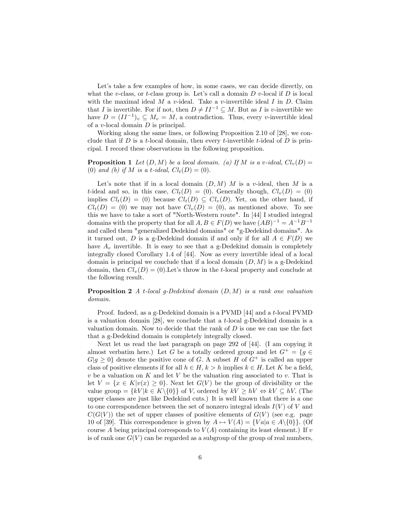Let's take a few examples of how, in some cases, we can decide directly, on what the v-class, or t-class group is. Let's call a domain  $D$  v-local if  $D$  is local with the maximal ideal M a v-ideal. Take a v-invertible ideal I in D. Claim that I is invertible. For if not, then  $D \neq II^{-1} \subseteq M$ . But as I is v-invertible we have  $D = (II^{-1})_v \subseteq M_v = M$ , a contradiction. Thus, every v-invertible ideal of a v-local domain  $D$  is principal.

Working along the same lines, or following Proposition 2.10 of [28], we conclude that if  $D$  is a t-local domain, then every t-invertible t-ideal of  $D$  is principal. I record these observations in the following proposition.

**Proposition 1** Let  $(D, M)$  be a local domain. (a) If M is a v-ideal,  $Cl_v(D)$  = (0) and (b) if M is a t-ideal,  $Cl_t(D) = (0)$ .

Let's note that if in a local domain  $(D, M)$  M is a v-ideal, then M is a t-ideal and so, in this case,  $Cl_t(D) = (0)$ . Generally though,  $Cl_v(D) = (0)$ implies  $Cl_t(D) = (0)$  because  $Cl_t(D) \subseteq Cl_v(D)$ . Yet, on the other hand, if  $Cl<sub>t</sub>(D) = (0)$  we may not have  $Cl<sub>v</sub>(D) = (0)$ , as mentioned above. To see this we have to take a sort of "North-Western route". In [44] I studied integral domains with the property that for all  $A, B \in F(D)$  we have  $(AB)^{-1} = A^{-1}B^{-1}$ and called them "generalized Dedekind domains" or "g-Dedekind domains". As it turned out, D is a g-Dedekind domain if and only if for all  $A \in F(D)$  we have  $A_v$  invertible. It is easy to see that a g-Dedekind domain is completely integrally closed Corollary 1.4 of [44]. Now as every invertible ideal of a local domain is principal we conclude that if a local domain  $(D, M)$  is a g-Dedekind domain, then  $Cl<sub>v</sub>(D) = (0)$ . Let's throw in the t-local property and conclude at the following result.

**Proposition 2** A t-local g-Dedekind domain  $(D, M)$  is a rank one valuation domain.

Proof. Indeed, as a g-Dedekind domain is a PVMD [44] and a t-local PVMD is a valuation domain  $[28]$ , we conclude that a t-local g-Dedekind domain is a valuation domain. Now to decide that the rank of  $D$  is one we can use the fact that a g-Dedekind domain is completely integrally closed.

Next let us read the last paragraph on page 292 of [44]. (I am copying it almost verbatim here.) Let G be a totally ordered group and let  $G^+ = \{g \in$  $G|g \geq 0$  denote the positive cone of G. A subset H of  $G^+$  is called an upper class of positive elements if for all  $h \in H$ ,  $k > h$  implies  $k \in H$ . Let K be a field,  $v$  be a valuation on  $K$  and let  $V$  be the valuation ring associated to  $v$ . That is let  $V = \{x \in K | v(x) \geq 0\}$ . Next let  $G(V)$  be the group of divisibility or the value group  $=\{kV | k \in K \setminus \{0\}\}\$  of V, ordered by  $kV \geq hV \Leftrightarrow kV \subseteq hV$ . (The upper classes are just like Dedekind cuts.) It is well known that there is a one to one correspondence between the set of nonzero integral ideals  $I(V)$  of V and  $C(G(V))$  the set of upper classes of positive elements of  $G(V)$  (see e.g. page 10 of [39]. This correspondence is given by  $A \mapsto V(A) = \{Val | a \in A \setminus \{0\}\}\.$  (Of course A being principal corresponds to  $V(A)$  containing its least element.) If v is of rank one  $G(V)$  can be regarded as a subgroup of the group of real numbers,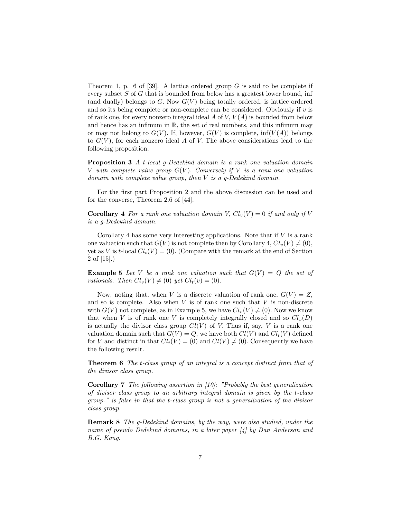Theorem 1, p. 6 of [39]. A lattice ordered group  $G$  is said to be complete if every subset S of G that is bounded from below has a greatest lower bound, inf (and dually) belongs to G. Now  $G(V)$  being totally ordered, is lattice ordered and so its being complete or non-complete can be considered. Obviously if  $v$  is of rank one, for every nonzero integral ideal A of V,  $V(A)$  is bounded from below and hence has an infimum in  $\mathbb{R}$ , the set of real numbers, and this infimum may or may not belong to  $G(V)$ . If, however,  $G(V)$  is complete,  $\inf(V(A))$  belongs to  $G(V)$ , for each nonzero ideal A of V. The above considerations lead to the following proposition.

Proposition 3 A t-local g-Dedekind domain is a rank one valuation domain V with complete value group  $G(V)$ . Conversely if V is a rank one valuation domain with complete value group, then V is a q-Dedekind domain.

For the first part Proposition 2 and the above discussion can be used and for the converse, Theorem 2.6 of [44].

**Corollary 4** For a rank one valuation domain V,  $Cl_n(V) = 0$  if and only if V is a g-Dedekind domain.

Corollary 4 has some very interesting applications. Note that if  $V$  is a rank one valuation such that  $G(V)$  is not complete then by Corollary 4,  $Cl_n(V) \neq (0)$ , yet as V is t-local  $Cl_t(V) = (0)$ . (Compare with the remark at the end of Section 2 of [15].)

**Example 5** Let V be a rank one valuation such that  $G(V) = Q$  the set of rationals. Then  $Cl_v(V) \neq (0)$  yet  $Cl_t(v) = (0)$ .

Now, noting that, when V is a discrete valuation of rank one,  $G(V) = Z$ , and so is complete. Also when  $V$  is of rank one such that  $V$  is non-discrete with  $G(V)$  not complete, as in Example 5, we have  $Cl_v(V) \neq (0)$ . Now we know that when V is of rank one V is completely integrally closed and so  $Cl_v(D)$ is actually the divisor class group  $Cl(V)$  of V. Thus if, say, V is a rank one valuation domain such that  $G(V) = Q$ , we have both  $Cl(V)$  and  $Cl<sub>t</sub>(V)$  defined for V and distinct in that  $Cl_t(V) = (0)$  and  $Cl(V) \neq (0)$ . Consequently we have the following result.

Theorem 6 The t-class group of an integral is a concept distinct from that of the divisor class group.

Corollary 7 The following assertion in [10]: "Probably the best generalization of divisor class group to an arbitrary integral domain is given by the t-class group." is false in that the t-class group is not a generalization of the divisor class group.

Remark 8 The g-Dedekind domains, by the way, were also studied, under the name of pseudo Dedekind domains, in a later paper [4] by Dan Anderson and B.G. Kang.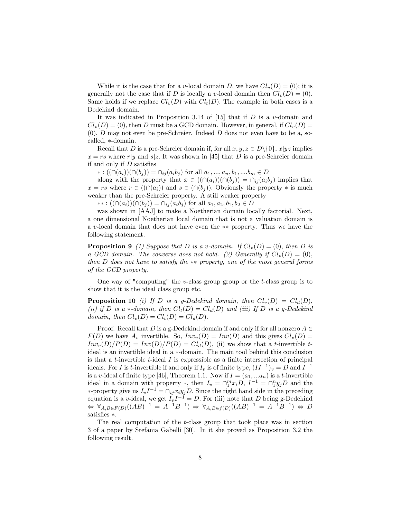While it is the case that for a v-local domain D, we have  $Cl_v(D) = (0)$ ; it is generally not the case that if D is locally a v-local domain then  $Cl_v(D) = (0)$ . Same holds if we replace  $Cl<sub>v</sub>(D)$  with  $Cl<sub>t</sub>(D)$ . The example in both cases is a Dedekind domain.

It was indicated in Proposition 3.14 of [15] that if  $D$  is a v-domain and  $Cl<sub>v</sub>(D) = (0)$ , then D must be a GCD domain. However, in general, if  $Cl<sub>v</sub>(D) =$  $(0)$ , D may not even be pre-Schreier. Indeed D does not even have to be a, socalled, \*-domain.

Recall that D is a pre-Schreier domain if, for all  $x, y, z \in D\setminus\{0\}$ ,  $x|yz$  implies  $x = rs$  where r|y and s|z. It was shown in [45] that D is a pre-Schreier domain if and only if  $D$  satisfies

 $* : ((\cap (a_i))(\cap (b_j)) = \cap_{ij} (a_ib_j)$  for all  $a_1, ..., a_n, b_1, ...b_m \in D$ 

along with the property that  $x \in ((\cap (a_i))(\cap (b_j)) = \cap_{ij} (a_ib_j )$  implies that  $x = rs$  where  $r \in ((\cap (a_i))$  and  $s \in (\cap (b_j)).$  Obviously the property  $*$  is much weaker than the pre-Schreier property. A still weaker property

 $**: ((\cap (a_i))(\cap (b_j)) = \cap_{ij} (a_ib_j)$  for all  $a_1, a_2, b_1, b_2 \in D$ 

was shown in [AAJ] to make a Noetherian domain locally factorial. Next, a one dimensional Noetherian local domain that is not a valuation domain is a v-local domain that does not have even the  $**$  property. Thus we have the following statement.

**Proposition 9** (1) Suppose that D is a v-domain. If  $Cl_n(D) = (0)$ , then D is a GCD domain. The converse does not hold. (2) Generally if  $Cl_n(D) = (0)$ . then  $D$  does not have to satisfy the  $**$  property, one of the most general forms of the GCD property.

One way of "computing" the v-class group group or the t-class group is to show that it is the ideal class group etc.

**Proposition 10** (i) If D is a g-Dedekind domain, then  $Cl_v(D) = Cl_d(D)$ , (ii) if D is a  $*$ -domain, then  $Cl_t(D) = Cl_d(D)$  and (iii) If D is a g-Dedekind domain, then  $Cl_v(D) = Cl_t(D) = Cl_d(D)$ .

Proof. Recall that D is a g-Dedekind domain if and only if for all nonzero  $A \in$  $F(D)$  we have  $A_v$  invertible. So,  $Inv_v(D) = Inv(D)$  and this gives  $Cl_v(D) =$  $Inv_v(D)/P(D) = Inv(D)/P(D) = Cl_d(D)$ , (ii) we show that a t-invertible tideal is an invertible ideal in a  $*$ -domain. The main tool behind this conclusion is that a  $t$ -invertible  $t$ -ideal  $I$  is expressible as a finite intersection of principal ideals. For I is t-invertible if and only if  $I_v$  is of finite type,  $(II^{-1})_v = D$  and  $I^{-1}$ is a v-ideal of finite type [46], Theorem 1.1. Now if  $I = (a_1, ... a_n)$  is a t-invertible ideal in a domain with property  $\ast$ , then  $I_v = \bigcap_{1}^{m} x_i D$ ,  $I^{-1} = \bigcap_{1}^{n} y_j D$  and the \*-property give us  $I_v I^{-1} = \bigcap_{ij} x_i y_j D$ . Since the right hand side in the preceding equation is a v-ideal, we get  $I_vI^{-1} = D$ . For (iii) note that D being g-Dedekind  $\Leftrightarrow \forall_{A,B\in F(D)}((AB)^{-1} = A^{-1}B^{-1}) \Rightarrow \forall_{A,B\in f(D)}((AB)^{-1} = A^{-1}B^{-1}) \Leftrightarrow D$ satisfies  $*$ .

The real computation of the t-class group that took place was in section 3 of a paper by Stefania Gabelli [30]. In it she proved as Proposition 3.2 the following result.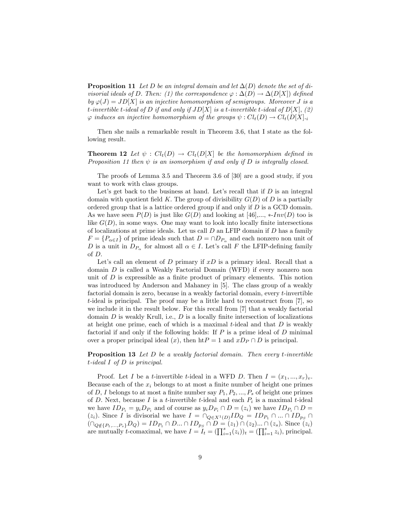**Proposition 11** Let D be an integral domain and let  $\Delta(D)$  denote the set of divisorial ideals of D. Then: (1) the correspondence  $\varphi : \Delta(D) \to \Delta(D[X])$  defined by  $\varphi(J) = JD[X]$  is an injective homomorphism of semigroups. Moreover J is a t-invertible t-ideal of D if and only if  $JD[X]$  is a t-invertible t-ideal of  $D[X]$ , (2)  $\varphi$  induces an injective homomorphism of the groups  $\psi : Cl_t(D) \to Cl_t(D[X])$ .

Then she nails a remarkable result in Theorem 3.6, that I state as the following result.

**Theorem 12** Let  $\psi$  :  $Cl_t(D) \rightarrow Cl_t(D[X])$  be the homomorphism defined in Proposition 11 then  $\psi$  is an isomorphism if and only if D is integrally closed.

The proofs of Lemma 3.5 and Theorem 3.6 of [30] are a good study, if you want to work with class groups.

Let's get back to the business at hand. Let's recall that if  $D$  is an integral domain with quotient field K. The group of divisibility  $G(D)$  of D is a partially ordered group that is a lattice ordered group if and only if  $D$  is a GCD domain. As we have seen  $P(D)$  is just like  $G(D)$  and looking at  $[46],..., *Inv(D)$  too is like  $G(D)$ , in some ways. One may want to look into locally finite intersections of localizations at prime ideals. Let us call  $D$  an LFIP domain if  $D$  has a family  $F = \{P_{\alpha \in I}\}\$  of prime ideals such that  $D = \cap D_{P_{\alpha}}\$  and each nonzero non unit of D is a unit in  $D_{P_\alpha}$  for almost all  $\alpha \in I$ . Let's call F the LFIP-defining family of D:

Let's call an element of  $D$  primary if  $xD$  is a primary ideal. Recall that a domain D is called a Weakly Factorial Domain (WFD) if every nonzero non unit of  $D$  is expressible as a finite product of primary elements. This notion was introduced by Anderson and Mahaney in [5]. The class group of a weakly factorial domain is zero, because in a weakly factorial domain, every t-invertible t-ideal is principal. The proof may be a little hard to reconstruct from [7], so we include it in the result below. For this recall from [7] that a weakly factorial domain  $D$  is weakly Krull, i.e.,  $D$  is a locally finite intersection of localizations at height one prime, each of which is a maximal  $t$ -ideal and that  $D$  is weakly factorial if and only if the following holds: If  $P$  is a prime ideal of  $D$  minimal over a proper principal ideal  $(x)$ , then  $h\text{t}P = 1$  and  $xD_P \cap D$  is principal.

Proposition 13 Let D be a weakly factorial domain. Then every t-invertible t-ideal I of D is principal.

Proof. Let I be a t-invertible t-ideal in a WFD D. Then  $I = (x_1, ..., x_r)_v$ . Because each of the  $x_i$  belongs to at most a finite number of height one primes of D, I belongs to at most a finite number say  $P_1, P_2, ..., P_s$  of height one primes of D. Next, because I is a t-invertible t-ideal and each  $P_i$  is a maximal t-ideal we have  $ID_{P_i} = y_i D_{P_i}$  and of course as  $y_i D_{P_i} \cap D = (z_i)$  we have  $ID_{P_i} \cap D = (z_i)$  $(z_i)$ . Since I is divisorial we have  $I = \bigcap_{Q \in X^1(D)}ID_Q = ID_{P_1} \cap ... \cap ID_{p_S} \cap$  $(\bigcap_{Q \notin \{P_1,...,P_s\}} D_Q) = ID_{P_1} \cap D... \cap ID_{p_S} \cap D = (z_1) \cap (z_2)... \cap (z_s).$  Since  $(z_i)$ are mutually *t*-comaximal, we have  $I = I_t = (\prod_{i=1}^s (z_i))_t = (\prod_{i=1}^s z_i)$ , principal.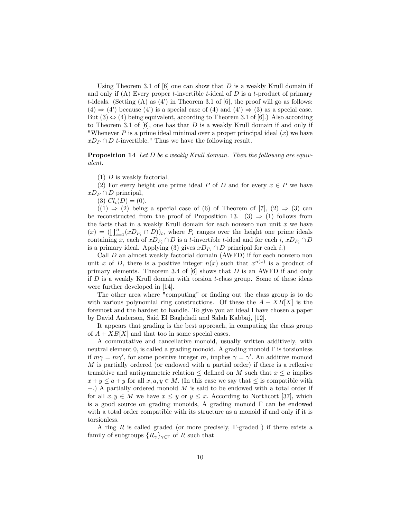Using Theorem 3.1 of  $[6]$  one can show that D is a weakly Krull domain if and only if (A) Every proper *t*-invertible *t*-ideal of  $D$  is a *t*-product of primary t-ideals. (Setting  $(A)$  as  $(4')$  in Theorem 3.1 of  $[6]$ , the proof will go as follows:  $(4) \Rightarrow (4')$  because  $(4')$  is a special case of  $(4)$  and  $(4') \Rightarrow (3)$  as a special case. But  $(3) \Leftrightarrow (4)$  being equivalent, according to Theorem 3.1 of [6].) Also according to Theorem 3.1 of  $[6]$ , one has that D is a weakly Krull domain if and only if "Whenever  $P$  is a prime ideal minimal over a proper principal ideal  $(x)$  we have  $xD_P \cap D$  t-invertible." Thus we have the following result.

Proposition 14 Let D be a weakly Krull domain. Then the following are equivalent.

 $(1)$  D is weakly factorial,

(2) For every height one prime ideal P of D and for every  $x \in P$  we have  $xD_P \cap D$  principal,

(3)  $Cl_t(D) = (0).$ 

 $((1) \Rightarrow (2)$  being a special case of (6) of Theorem of [7],  $(2) \Rightarrow (3)$  can be reconstructed from the proof of Proposition 13. (3)  $\Rightarrow$  (1) follows from the facts that in a weakly Krull domain for each nonzero non unit  $x$  we have  $(x) = (\prod_{i=1}^{n} (xD_{P_i} \cap D))_t$ , where  $P_i$  ranges over the height one prime ideals containing x, each of  $xD_{P_i} \cap D$  is a t-invertible t-ideal and for each  $i, xD_{P_i} \cap D$ is a primary ideal. Applying (3) gives  $xD_{P_i} \cap D$  principal for each i.)

Call  $D$  an almost weakly factorial domain (AWFD) if for each nonzero non unit x of D, there is a positive integer  $n(x)$  such that  $x^{n(x)}$  is a product of primary elements. Theorem 3.4 of  $[6]$  shows that  $D$  is an AWFD if and only if  $D$  is a weakly Krull domain with torsion t-class group. Some of these ideas were further developed in [14].

The other area where "computing" or finding out the class group is to do with various polynomial ring constructions. Of these the  $A + XB[X]$  is the foremost and the hardest to handle. To give you an ideal I have chosen a paper by David Anderson, Said El Baghdadi and Salah Kabbaj, [12].

It appears that grading is the best approach, in computing the class group of  $A + XB[X]$  and that too in some special cases.

A commutative and cancellative monoid, usually written additively, with neutral element 0, is called a grading monoid. A grading monoid  $\Gamma$  is torsionless if  $m\gamma = m\gamma'$ , for some positive integer m, implies  $\gamma = \gamma'$ . An additive monoid  $M$  is partially ordered (or endowed with a partial order) if there is a reflexive transitive and antisymmetric relation  $\leq$  defined on M such that  $x \leq a$  implies  $x + y \le a + y$  for all  $x, a, y \in M$ . (In this case we say that  $\le$  is compatible with  $+$ .) A partially ordered monoid M is said to be endowed with a total order if for all  $x, y \in M$  we have  $x \leq y$  or  $y \leq x$ . According to Northcott [37], which is a good source on grading monoids, A grading monoid  $\Gamma$  can be endowed with a total order compatible with its structure as a monoid if and only if it is torsionless.

A ring  $R$  is called graded (or more precisely,  $\Gamma$ -graded) if there exists a family of subgroups  $\{R_{\gamma}\}_{\gamma \in \Gamma}$  of R such that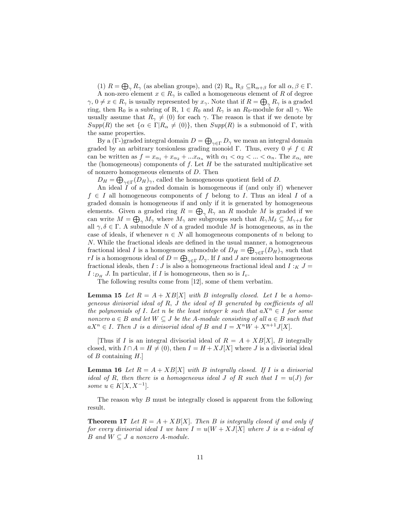(1)  $R = \bigoplus_{\gamma} R_{\gamma}$  (as abelian groups), and (2)  $R_{\alpha} R_{\beta} \subseteq R_{\alpha+\beta}$  for all  $\alpha, \beta \in \Gamma$ .

A non-zero element  $x \in R_{\gamma}$  is called a homogeneous element of R of degree  $\gamma, 0 \neq x \in R_{\gamma}$  is usually represented by  $x_{\gamma}$ . Note that if  $R = \bigoplus_{\gamma} R_{\gamma}$  is a graded ring, then R<sub>0</sub> is a subring of R,  $1 \in R_0$  and  $R_\gamma$  is an  $R_0$ -module for all  $\gamma$ . We usually assume that  $R_{\gamma} \neq (0)$  for each  $\gamma$ . The reason is that if we denote by  $Supp(R)$  the set  $\{\alpha \in \Gamma | R_{\alpha} \neq (0)\}\$ , then  $Supp(R)$  is a submonoid of  $\Gamma$ , with the same properties.

By a ( $\Gamma$ -)graded integral domain  $D = \bigoplus_{\gamma \in \Gamma} D_{\gamma}$  we mean an integral domain graded by an arbitrary torsionless grading monoid  $\Gamma$ . Thus, every  $0 \neq f \in R$ can be written as  $f = x_{\alpha_1} + x_{\alpha_2} + ... x_{\alpha_n}$  with  $\alpha_1 < \alpha_2 < ... < \alpha_n$ . The  $x_{\alpha_i}$  are the (homogeneous) components of  $f$ . Let  $H$  be the saturated multiplicative set of nonzero homogeneous elements of D. Then

 $D_H = \bigoplus_{\gamma \in \Gamma} (D_H)_{\gamma}$ , called the homogeneous quotient field of D.

An ideal I of a graded domain is homogeneous if (and only if) whenever  $f \in I$  all homogeneous components of f belong to I. Thus an ideal I of a graded domain is homogeneous if and only if it is generated by homogeneous elements. Given a graded ring  $R = \bigoplus_{\gamma} R_{\gamma}$  an R module M is graded if we can write  $M = \bigoplus_{\gamma} M_{\gamma}$  where  $M_{\gamma}$  are subgroups such that  $R_{\gamma} M_{\delta} \subseteq M_{\gamma+\delta}$  for all  $\gamma, \delta \in \Gamma$ . A submodule N of a graded module M is homogeneous, as in the case of ideals, if whenever  $n \in N$  all homogeneous components of n belong to  $N.$  While the fractional ideals are defined in the usual manner, a homogeneous fractional ideal I is a homogenous submodule of  $D_H = \bigoplus_{\gamma \in \Gamma} (D_H)_{\gamma}$  such that rI is a homogenous ideal of  $D = \bigoplus_{\gamma \in \Gamma} D_{\gamma}$ . If I and J are nonzero homogeneous fractional ideals, then  $I:J$  is also a homogeneous fractional ideal and  $I:_{K} J =$  $I:_{D_H} J$ . In particular, if I is homogeneous, then so is  $I_v$ .

The following results come from [12], some of them verbatim.

**Lemma 15** Let  $R = A + XB[X]$  with B integrally closed. Let I be a homogeneous divisorial ideal of R, J the ideal of B generated by coefficients of all the polynomials of I. Let n be the least integer k such that  $aX^n \in I$  for some nonzero  $a \in B$  and let  $W \subseteq J$  be the A-module consisting of all  $a \in B$  such that  $aX^{n} \in I$ . Then J is a divisorial ideal of B and  $I = X^{n}W + X^{n+1}J[X]$ .

[Thus if I is an integral divisorial ideal of  $R = A + XB[X]$ , B integrally closed, with  $I \cap A = H \neq (0)$ , then  $I = H + XJ[X]$  where J is a divisorial ideal of  $B$  containing  $H$ .

**Lemma 16** Let  $R = A + XB[X]$  with B integrally closed. If I is a divisorial ideal of R, then there is a homogeneous ideal J of R such that  $I = u(J)$  for some  $u \in K[X, X^{-1}].$ 

The reason why B must be integrally closed is apparent from the following result.

**Theorem 17** Let  $R = A + XB[X]$ . Then B is integrally closed if and only if for every divisorial ideal I we have  $I = u(W + XJ[X])$  where J is a v-ideal of B and  $W \subseteq J$  a nonzero A-module.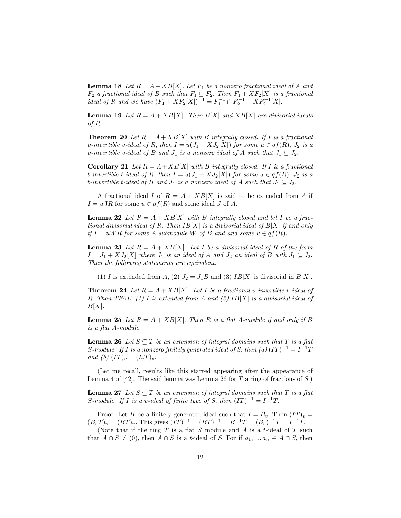**Lemma 18** Let  $R = A + XB[X]$ . Let  $F_1$  be a nonzero fractional ideal of A and  $F_2$  a fractional ideal of B such that  $F_1 \subseteq F_2$ . Then  $F_1 + XF_2[X]$  is a fractional ideal of R and we have  $(F_1 + XF_2[X])^{-1} = F_1^{-1} \cap F_2^{-1} + XF_2^{-1}[X]$ .

**Lemma 19** Let  $R = A + XB[X]$ . Then  $B[X]$  and  $XB[X]$  are divisorial ideals of  $R$ .

**Theorem 20** Let  $R = A + XB[X]$  with B integrally closed. If I is a fractional v-invertible v-ideal of R; then  $I = u(J_1 + XJ_2[X])$  for some  $u \in qf(R)$ ,  $J_2$  is a v-invertible v-ideal of B and  $J_1$  is a nonzero ideal of A such that  $J_1 \subseteq J_2$ .

**Corollary 21** Let  $R = A + XB[X]$  with B integrally closed. If I is a fractional t-invertible t-ideal of R; then  $I = u(J_1 + XJ_2|X|)$  for some  $u \in qf(R)$ ,  $J_2$  is a t-invertible t-ideal of B and  $J_1$  is a nonzero ideal of A such that  $J_1 \subseteq J_2$ .

A fractional ideal I of  $R = A + XB[X]$  is said to be extended from A if  $I = u \, \text{J}R$  for some  $u \in qf(R)$  and some ideal J of A.

**Lemma 22** Let  $R = A + XB[X]$  with B integrally closed and let I be a fractional divisorial ideal of R. Then  $IB[X]$  is a divisorial ideal of  $B[X]$  if and only if  $I = uWR$  for some A submodule W of B and and some  $u \in qf(R)$ .

**Lemma 23** Let  $R = A + XB[X]$ . Let I be a divisorial ideal of R of the form  $I = J_1 + XJ_2[X]$  where  $J_1$  is an ideal of A and  $J_2$  an ideal of B with  $J_1 \subseteq J_2$ . Then the following statements are equivalent.

(1) I is extended from A, (2)  $J_2 = J_1B$  and (3) IB[X] is divisorial in B[X].

**Theorem 24** Let  $R = A + XB[X]$ . Let I be a fractional v-invertible v-ideal of R. Then TFAE: (1) I is extended from A and (2)  $IB[X]$  is a divisorial ideal of  $B[X]$ .

**Lemma 25** Let  $R = A + XB[X]$ . Then R is a flat A-module if and only if B is a flat  $A$ -module.

**Lemma 26** Let  $S \subseteq T$  be an extension of integral domains such that T is a flat S-module. If I is a nonzero finitely generated ideal of S, then (a)  $(IT)^{-1} = I^{-1}T$ and (b)  $(TT)_v = (I_vT)_v$ .

(Let me recall, results like this started appearing after the appearance of Lemma 4 of [42]. The said lemma was Lemma 26 for T a ring of fractions of S.)

**Lemma 27** Let  $S \subseteq T$  be an extension of integral domains such that T is a flat S-module. If I is a v-ideal of finite type of S, then  $(IT)^{-1} = I^{-1}T$ .

Proof. Let B be a finitely generated ideal such that  $I = B_v$ . Then  $(IT)_v =$  $(B_vT)_v = (BT)_v$ . This gives  $(IT)^{-1} = (BT)^{-1} = B^{-1}T = (B_v)^{-1}T = I^{-1}T$ .

(Note that if the ring  $T$  is a flat  $S$  module and  $A$  is a t-ideal of  $T$  such that  $A \cap S \neq (0)$ , then  $A \cap S$  is a t-ideal of S. For if  $a_1, ..., a_n \in A \cap S$ , then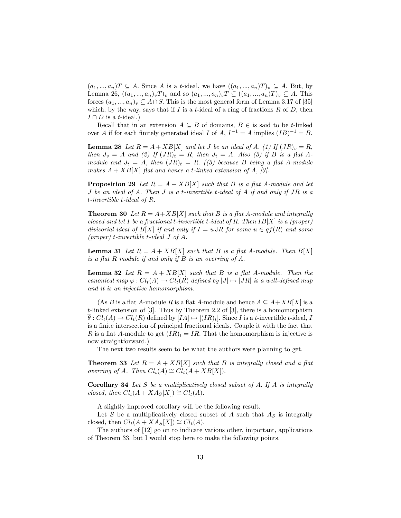$(a_1, ..., a_n)T \subseteq A$ . Since A is a t-ideal, we have  $((a_1, ..., a_n)T)_v \subseteq A$ . But, by Lemma 26,  $((a_1, ..., a_n)_v T)_v$  and so  $(a_1, ..., a_n)_v T \subseteq ((a_1, ..., a_n)_T)_v \subseteq A$ . This forces  $(a_1, ..., a_n)_v \subseteq A \cap S$ . This is the most general form of Lemma 3.17 of [35] which, by the way, says that if I is a t-ideal of a ring of fractions  $R$  of  $D$ , then  $I \cap D$  is a t-ideal.)

Recall that in an extension  $A \subseteq B$  of domains,  $B \in \mathcal{S}$  is said to be t-linked over A if for each finitely generated ideal I of A,  $I^{-1} = A$  implies  $(IB)^{-1} = B$ .

**Lemma 28** Let  $R = A + XB[X]$  and let J be an ideal of A. (1) If  $(JR)_v = R$ , then  $J_v = A$  and (2) If  $(JR)_t = R$ , then  $J_t = A$ . Also (3) if B is a flat Amodule and  $J_t = A$ , then  $(JR)_t = R$ . ((3) because B being a flat A-module makes  $A + XB[X]$  flat and hence a t-linked extension of A, [3].

**Proposition 29** Let  $R = A + XB[X]$  such that B is a flat A-module and let J be an ideal of A. Then J is a t-invertible t-ideal of A if and only if JR is a t-invertible t-ideal of R.

**Theorem 30** Let  $R = A + XB[X]$  such that B is a flat A-module and integrally closed and let I be a fractional t-invertible t-ideal of R. Then  $IB[X]$  is a (proper) divisorial ideal of  $B[X]$  if and only if  $I = u \, \text{JR}$  for some  $u \in qf(R)$  and some (proper) t-invertible t-ideal  $J$  of  $A$ .

**Lemma 31** Let  $R = A + XB[X]$  such that B is a flat A-module. Then  $B[X]$ is a flat R module if and only if B is an overring of A.

**Lemma 32** Let  $R = A + XB[X]$  such that B is a flat A-module. Then the canonical map  $\varphi : Cl_t(A) \to Cl_t(R)$  defined by  $[J] \mapsto [JR]$  is a well-defined map and it is an injective homomorphism.

(As B is a flat A-module R is a flat A-module and hence  $A \subseteq A+XB[X]$  is a t-linked extension of [3]. Thus by Theorem 2.2 of [3], there is a homomorphism  $\theta: Cl_t(A) \to Cl_t(R)$  defined by  $[IA] \mapsto [(IR)_t]$ . Since I is a t-invertible t-ideal, I is a finite intersection of principal fractional ideals. Couple it with the fact that R is a flat A-module to get  $(IR)_t = IR$ . That the homomorphism is injective is now straightforward.)

The next two results seem to be what the authors were planning to get.

**Theorem 33** Let  $R = A + XB[X]$  such that B is integrally closed and a flat overring of A. Then  $Cl_t(A) \cong Cl_t(A+XB[X]).$ 

**Corollary 34** Let S be a multiplicatively closed subset of A. If A is integrally closed, then  $Cl_t(A+XA_S[X]) \cong Cl_t(A)$ .

A slightly improved corollary will be the following result.

Let S be a multiplicatively closed subset of A such that  $A<sub>S</sub>$  is integrally closed, then  $Cl_t(A+XAs[X]) \cong Cl_t(A)$ .

The authors of [12] go on to indicate various other, important, applications of Theorem 33, but I would stop here to make the following points.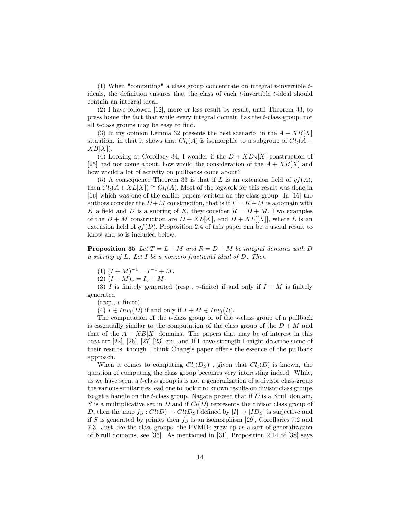(1) When "computing" a class group concentrate on integral  $t$ -invertible  $t$ ideals, the definition ensures that the class of each  $t$ -invertible  $t$ -ideal should contain an integral ideal.

(2) I have followed [12], more or less result by result, until Theorem 33, to press home the fact that while every integral domain has the t-class group, not all  $t$ -class groups may be easy to find.

(3) In my opinion Lemma 32 presents the best scenario, in the  $A + XB[X]$ situation. in that it shows that  $Cl_t(A)$  is isomorphic to a subgroup of  $Cl_t(A)$  +  $XB[X]$ .

(4) Looking at Corollary 34, I wonder if the  $D + X D<sub>S</sub>[X]$  construction of [25] had not come about, how would the consideration of the  $A + XB[X]$  and how would a lot of activity on pullbacks come about?

(5) A consequence Theorem 33 is that if L is an extension field of  $qf(A)$ , then  $Cl_t(A+XL[X]) \cong Cl_t(A)$ . Most of the legwork for this result was done in [16] which was one of the earlier papers written on the class group. In [16] the authors consider the  $D+M$  construction, that is if  $T = K+M$  is a domain with K a field and D is a subring of K, they consider  $R = D + M$ . Two examples of the  $D + M$  construction are  $D + XL[X]$ , and  $D + XL[[X]]$ , where L is an extension field of  $qf(D)$ . Proposition 2.4 of this paper can be a useful result to know and so is included below.

**Proposition 35** Let  $T = L + M$  and  $R = D + M$  be integral domains with D a subring of L. Let I be a nonzero fractional ideal of D. Then

$$
(1) (I + M)^{-1} = I^{-1} + M.
$$

(2)  $(I + M)_v = I_v + M$ .

(3) I is finitely generated (resp., v-finite) if and only if  $I + M$  is finitely generated

 $(resp., v-finite).$ 

(4)  $I \in Inv_t(D)$  if and only if  $I + M \in Inv_t(R)$ .

The computation of the  $t$ -class group or of the  $\ast$ -class group of a pullback is essentially similar to the computation of the class group of the  $D + M$  and that of the  $A + XB[X]$  domains. The papers that may be of interest in this area are [22], [26], [27] [23] etc. and If I have strength I might describe some of their results, though I think Chang's paper offer's the essence of the pullback approach.

When it comes to computing  $Cl_t(D_S)$ , given that  $Cl_t(D)$  is known, the question of computing the class group becomes very interesting indeed. While, as we have seen, a t-class group is is not a generalization of a divisor class group the various similarities lead one to look into known results on divisor class groups to get a handle on the t-class group. Nagata proved that if  $D$  is a Krull domain, S is a multiplicative set in D and if  $Cl(D)$  represents the divisor class group of D, then the map  $f_S : Cl(D) \to Cl(D_S)$  defined by  $[I] \mapsto [ID_S]$  is surjective and if S is generated by primes then  $f<sub>S</sub>$  is an isomorphism [29], Corollaries 7.2 and 7.3. Just like the class groups, the PVMDs grew up as a sort of generalization of Krull domains, see [36]. As mentioned in [31], Proposition 2.14 of [38] says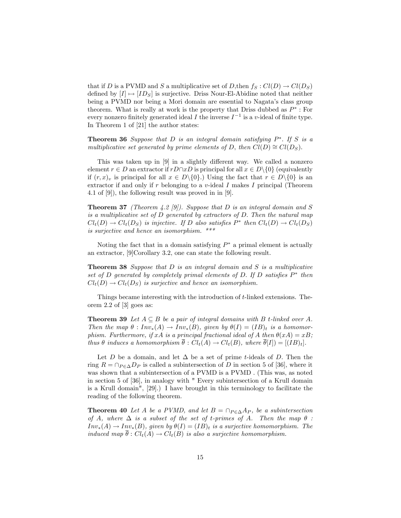that if D is a PVMD and S a multiplicative set of D, then  $f_S: Cl(D) \to Cl(D_S)$ defined by  $[I] \mapsto [ID_S]$  is surjective. Driss Nour-El-Abidine noted that neither being a PVMD nor being a Mori domain are essential to Nagataís class group theorem. What is really at work is the property that Driss dubbed as  $P^*$ : For every nonzero finitely generated ideal I the inverse  $I^{-1}$  is a v-ideal of finite type. In Theorem 1 of [21] the author states:

**Theorem 36** Suppose that  $D$  is an integral domain satisfying  $P^*$ . If  $S$  is a multiplicative set generated by prime elements of D, then  $Cl(D) \cong Cl(D<sub>S</sub>)$ .

This was taken up in  $[9]$  in a slightly different way. We called a nonzero element  $r \in D$  an extractor if  $rD\cap xD$  is principal for all  $x \in D\setminus\{0\}$  (equivalently if  $(r, x)_v$  is principal for all  $x \in D\setminus\{0\}$ .) Using the fact that  $r \in D\setminus\{0\}$  is an extractor if and only if  $r$  belonging to a  $v$ -ideal  $I$  makes  $I$  principal (Theorem 4.1 of [9]), the following result was proved in in [9].

**Theorem 37** (Theorem 4.2 [9]). Suppose that D is an integral domain and S is a multiplicative set of D generated by extractors of D: Then the natural map  $Cl_t(D) \to Cl_t(D_S)$  is injective. If D also satisfies  $P^*$  then  $Cl_t(D) \to Cl_t(D_S)$ is surjective and hence an isomorphism. \*\*\*

Noting the fact that in a domain satisfying  $P^*$  a primal element is actually an extractor, [9]Corollary 3.2, one can state the following result.

Theorem 38 Suppose that D is an integral domain and S is a multiplicative set of D generated by completely primal elements of D. If D satisfies  $P^*$  then  $Cl<sub>t</sub>(D) \rightarrow Cl<sub>t</sub>(D<sub>S</sub>)$  is surjective and hence an isomorphism.

Things became interesting with the introduction of t-linked extensions. Theorem 2.2 of [3] goes as:

**Theorem 39** Let  $A \subseteq B$  be a pair of integral domains with B t-linked over A. Then the map  $\theta : Inv_*(A) \to Inv_*(B)$ , given by  $\theta(I) = (IB)_t$  is a homomorphism. Furthermore, if xA is a principal fractional ideal of A then  $\theta(xA) = xB$ ; thus  $\theta$  induces a homomorphism  $\overline{\theta}$ :  $Cl_t(A) \to Cl_t(B)$ , where  $\overline{\theta}[I]) = [(IB)_t]$ .

Let D be a domain, and let  $\Delta$  be a set of prime t-ideals of D. Then the ring  $R = \cap_{P \in \Delta} D_P$  is called a subintersection of D in section 5 of [36], where it was shown that a subintersection of a PVMD is a PVMD . (This was, as noted in section 5 of [36], in analogy with " Every subintersection of a Krull domain is a Krull domain", [29].) I have brought in this terminology to facilitate the reading of the following theorem.

**Theorem 40** Let A be a PVMD, and let  $B = \bigcap_{P \in \Delta} A_P$ , be a subintersection of A, where  $\Delta$  is a subset of the set of t-primes of A. Then the map  $\theta$  :  $Inv_*(A) \to Inv_*(B)$ , given by  $\theta(I) = (IB)_t$  is a surjective homomorphism. The induced map  $\overline{\theta}$ :  $Cl_t(A) \rightarrow Cl_t(B)$  is also a surjective homomorphism.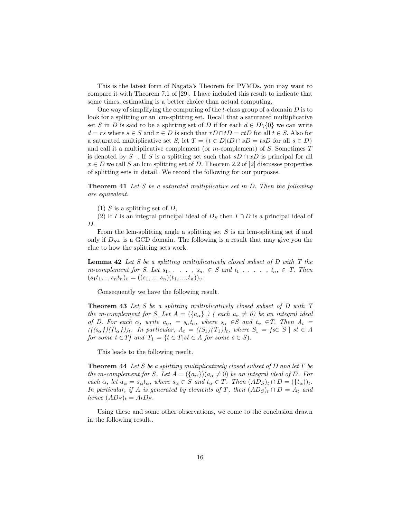This is the latest form of Nagataís Theorem for PVMDs, you may want to compare it with Theorem 7.1 of [29]. I have included this result to indicate that some times, estimating is a better choice than actual computing.

One way of simplifying the computing of the t-class group of a domain  $D$  is to look for a splitting or an lcm-splitting set. Recall that a saturated multiplicative set S in D is said to be a splitting set of D if for each  $d \in D \setminus \{0\}$  we can write  $d = rs$  where  $s \in S$  and  $r \in D$  is such that  $rD \cap tD = rtD$  for all  $t \in S$ . Also for a saturated multiplicative set S, let  $T = \{t \in D | tD \cap sD = tsD \text{ for all } s \in D\}$ and call it a multiplicative complement (or  $m$ -complement) of  $S$ . Sometimes  $T$ is denoted by  $S^{\perp}$ . If S is a splitting set such that  $sD \cap xD$  is principal for all  $x \in D$  we call S an lcm splitting set of D. Theorem 2.2 of [2] discusses properties of splitting sets in detail. We record the following for our purposes.

**Theorem 41** Let S be a saturated multiplicative set in D. Then the following are equivalent.

(1) S is a splitting set of D,

(2) If I is an integral principal ideal of  $D<sub>S</sub>$  then  $I \cap D$  is a principal ideal of  $D$ .

From the lcm-splitting angle a splitting set  $S$  is an lcm-splitting set if and only if  $D_{S^{\perp}}$  is a GCD domain. The following is a result that may give you the clue to how the splitting sets work.

**Lemma 42** Let S be a splitting multiplicatively closed subset of  $D$  with  $T$  the m-complement for S. Let  $s_1, \ldots, s_n \in S$  and  $t_1, \ldots, t_n \in T$ . Then  $(s_1t_1, ..., s_nt_n)_v = ((s_1, ..., s_n)(t_1, ..., t_n))_v.$ 

Consequently we have the following result.

**Theorem 43** Let S be a splitting multiplicatively closed subset of D with T the m-complement for S. Let  $A = (\lbrace a_{\alpha} \rbrace )$  (each  $a_{\alpha} \neq 0$ ) be an integral ideal of D. For each  $\alpha$ , write  $a_{\alpha}$ , =  $s_{\alpha}t_{\alpha}$ , where  $s_{\alpha} \in S$  and  $t_{\alpha} \in T$ . Then  $A_t$  =  $(((s_{\alpha}))(\{t_{\alpha}\})_t$ . In particular,  $A_t = ((S_1)(T_1))_t$ , where  $S_1 = \{s \in S \mid st \in A\}$ for some  $t \in T$  and  $T_1 = \{t \in T | st \in A \text{ for some } s \in S\}.$ 

This leads to the following result.

**Theorem 44** Let S be a splitting multiplicatively closed subset of  $D$  and let  $T$  be the m-complement for S. Let  $A = (\{a_{\alpha}\})(a_{\alpha} \neq 0)$  be an integral ideal of D. For each  $\alpha$ , let  $a_{\alpha} = s_{\alpha} t_{\alpha}$ , where  $s_{\alpha} \in S$  and  $t_{\alpha} \in T$ . Then  $(AD_S)_t \cap D = (\lbrace t_{\alpha} \rbrace)_t$ . In particular, if A is generated by elements of T, then  $(AD_S)_t \cap D = A_t$  and hence  $(AD_S)_t = A_tD_S$ .

Using these and some other observations, we come to the conclusion drawn in the following result..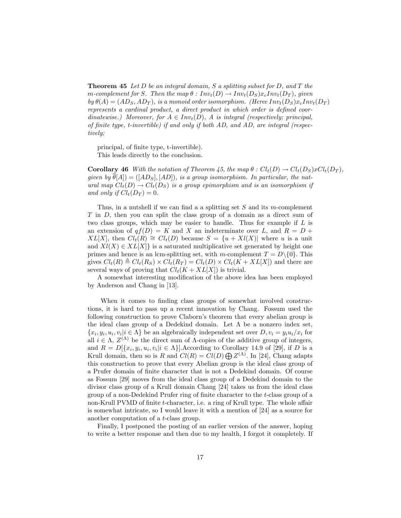**Theorem 45** Let D be an integral domain, S a splitting subset for D, and T the m-complement for S. Then the map  $\theta : Inv_t(D) \to Inv_t(D_S) x_c Inv_t(D_T)$ , given by  $\theta(A) = (AD_S, AD_T)$ , is a monoid order isomorphism. (Heree  $Inv_t(D_S)x_cInv_t(D_T)$ ) represents a cardinal product, a direct product in which order is defined coordinatewise.) Moreover, for  $A \in Inv<sub>t</sub>(D)$ , A is integral (respectively; principal, of finite type, t-invertible) if and only if both  $AD$ , and  $AD$ , are integral (respectively;

principal, of finite type, t-invertible). This leads directly to the conclusion.

**Corollary 46** With the notation of Theorem 45, the map  $\theta : Cl_t(D) \to Cl_t(D_S)xCl_t(D_T)$ , given by  $\theta[A]) = ([AD_S], [AD])$ , is a group isomorphism. In particular, the natural map  $Cl_t(D) \to Cl_t(D_S)$  is a group epimorphism and is an isomorphism if and only if  $Cl_t(D_T) = 0$ .

Thus, in a nutshell if we can find a a splitting set  $S$  and its m-complement T in D; then you can split the class group of a domain as a direct sum of two class groups, which may be easier to handle. Thus for example if  $L$  is an extension of  $qf(D) = K$  and X an indeterminate over L, and  $R = D +$  $XL[X]$ , then  $Cl_t(R) \cong Cl_t(D)$  because  $S = \{u + Xl(X)|$  where u is a unit and  $Xl(X) \in XL[X]$  is a saturated multiplicative set generated by height one primes and hence is an lcm-splitting set, with m-complement  $T = D\setminus\{0\}$ . This gives  $Cl_t(R) \triangleq Cl_t(R_S) \times Cl_t(R_T) = Cl_t(D) \times Cl_t(K+XL[X])$  and there are several ways of proving that  $Cl_t(K + XL[X])$  is trivial.

A somewhat interesting modification of the above idea has been employed by Anderson and Chang in [13].

When it comes to finding class groups of somewhat involved constructions, it is hard to pass up a recent innovation by Chang. Fossum used the following construction to prove Claborn's theorem that every abelian group is the ideal class group of a Dedekind domain. Let  $\Lambda$  be a nonzero index set,  ${x_i, y_i, u_i, v_i | i \in \Lambda}$  be an algebraically independent set over  $D, v_i = y_i u_i / x_i$  for all  $i \in \Lambda$ ,  $Z^{(\Lambda)}$  be the direct sum of  $\Lambda$ -copies of the additive group of integers, and  $R = D[\{x_i, y_i, u_i, v_i | i \in \Lambda\}]$ . According to Corollary 14.9 of [29], if D is a Krull domain, then so is R and  $Cl(R) = Cl(D) \bigoplus Z^{(\Lambda)}$ . In [24], Chang adapts this construction to prove that every Abelian group is the ideal class group of a Prufer domain of Önite character that is not a Dedekind domain. Of course as Fossum [29] moves from the ideal class group of a Dedekind domain to the divisor class group of a Krull domain Chang [24] takes us from the ideal class group of a non-Dedekind Prufer ring of finite character to the  $t$ -class group of a non-Krull PVMD of finite  $t$ -character, i.e. a ring of Krull type. The whole affair is somewhat intricate, so I would leave it with a mention of [24] as a source for another computation of a t-class group.

Finally, I postponed the posting of an earlier version of the answer, hoping to write a better response and then due to my health, I forgot it completely. If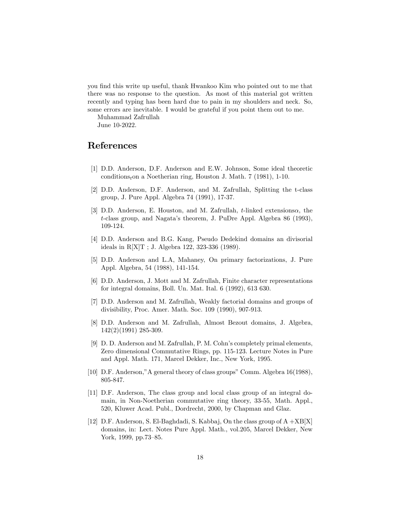you find this write up useful, thank Hwankoo Kim who pointed out to me that there was no response to the question. As most of this material got written recently and typing has been hard due to pain in my shoulders and neck. So, some errors are inevitable. I would be grateful if you point them out to me.

Muhammad Zafrullah June 10-2022.

## References

- [1] D.D. Anderson, D.F. Anderson and E.W. Johnson, Some ideal theoretic conditions<sub>t</sub>on a Noetherian ring, Houston J. Math.  $7$  (1981), 1-10.
- [2] D.D. Anderson, D.F. Anderson, and M. Zafrullah, Splitting the t-class group, J. Pure Appl. Algebra 74 (1991), 17-37.
- [3] D.D. Anderson, E. Houston, and M. Zafrullah,  $t$ -linked extensions $\alpha$ , the t-class group, and Nagataís theorem, J. PuDre Appl. Algebra 86 (1993), 109-124.
- [4] D.D. Anderson and B.G. Kang, Pseudo Dedekind domains an divisorial ideals in R[X]T ; J. Algebra 122, 323-336 (1989).
- [5] D.D. Anderson and L.A, Mahaney, On primary factorizations, J. Pure Appl. Algebra, 54 (1988), 141-154.
- [6] D.D. Anderson, J. Mott and M. Zafrullah, Finite character representations for integral domains, Boll. Un. Mat. Ital. 6 (1992), 613 630.
- [7] D.D. Anderson and M. Zafrullah, Weakly factorial domains and groups of divisibility, Proc. Amer. Math. Soc. 109 (1990), 907-913.
- [8] D.D. Anderson and M. Zafrullah, Almost Bezout domains, J. Algebra, 142(2)(1991) 285-309.
- [9] D. D. Anderson and M. Zafrullah, P. M. Cohnís completely primal elements, Zero dimensional Commutative Rings, pp. 115-123. Lecture Notes in Pure and Appl. Math. 171, Marcel Dekker, Inc., New York, 1995.
- [10] D.F. Anderson," A general theory of class groups" Comm. Algebra  $16(1988)$ , 805-847.
- [11] D.F. Anderson, The class group and local class group of an integral domain, in Non-Noetherian commutative ring theory, 33-55, Math. Appl., 520, Kluwer Acad. Publ., Dordrecht, 2000, by Chapman and Glaz.
- [12] D.F. Anderson, S. El-Baghdadi, S. Kabbaj, On the class group of A +XB[X] domains, in: Lect. Notes Pure Appl. Math., vol.205, Marcel Dekker, New York, 1999, pp.73–85.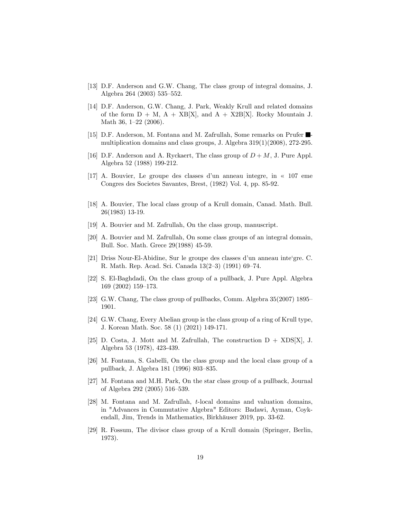- [13] D.F. Anderson and G.W. Chang, The class group of integral domains, J. Algebra 264 (2003) 535–552.
- [14] D.F. Anderson, G.W. Chang, J. Park, Weakly Krull and related domains of the form  $D + M$ ,  $A + XB[X]$ , and  $A + X2B[X]$ . Rocky Mountain J. Math 36,  $1-22$  (2006).
- [15] D.F. Anderson, M. Fontana and M. Zafrullah, Some remarks on Prufer  $\blacksquare$ multiplication domains and class groups, J. Algebra  $319(1)(2008)$ ,  $272-295$ .
- [16] D.F. Anderson and A. Ryckaert, The class group of  $D + M$ , J. Pure Appl. Algebra 52 (1988) 199-212.
- [17] A. Bouvier, Le groupe des classes d'un anneau integre, in  $\ll 107$  eme Congres des Societes Savantes, Brest, (1982) Vol. 4, pp. 85-92.
- [18] A. Bouvier, The local class group of a Krull domain, Canad. Math. Bull. 26(1983) 13-19.
- [19] A. Bouvier and M. Zafrullah, On the class group, manuscript.
- [20] A. Bouvier and M. Zafrullah, On some class groups of an integral domain, Bull. Soc. Math. Grece 29(1988) 45-59.
- [21] Driss Nour-El-Abidine, Sur le groupe des classes d'un anneau inte'gre. C. R. Math. Rep. Acad. Sci. Canada  $13(2-3)$  (1991) 69–74.
- [22] S. El-Baghdadi, On the class group of a pullback, J. Pure Appl. Algebra  $169 (2002) 159 - 173.$
- [23] G.W. Chang, The class group of pullbacks, Comm. Algebra  $35(2007)$  1895– 1901.
- [24] G.W. Chang, Every Abelian group is the class group of a ring of Krull type, J. Korean Math. Soc. 58 (1) (2021) 149-171.
- [25] D. Costa, J. Mott and M. Zafrullah, The construction  $D + XDS[X]$ , J. Algebra 53 (1978), 423-439.
- [26] M. Fontana, S. Gabelli, On the class group and the local class group of a pullback, J. Algebra 181 (1996) 803–835.
- [27] M. Fontana and M.H. Park, On the star class group of a pullback, Journal of Algebra 292 (2005)  $516-539$ .
- [28] M. Fontana and M. Zafrullah, t-local domains and valuation domains, in "Advances in Commutative Algebra" Editors: Badawi, Ayman, Coykendall, Jim, Trends in Mathematics, Birkhäuser 2019, pp. 33-62.
- [29] R. Fossum, The divisor class group of a Krull domain (Springer, Berlin, 1973).